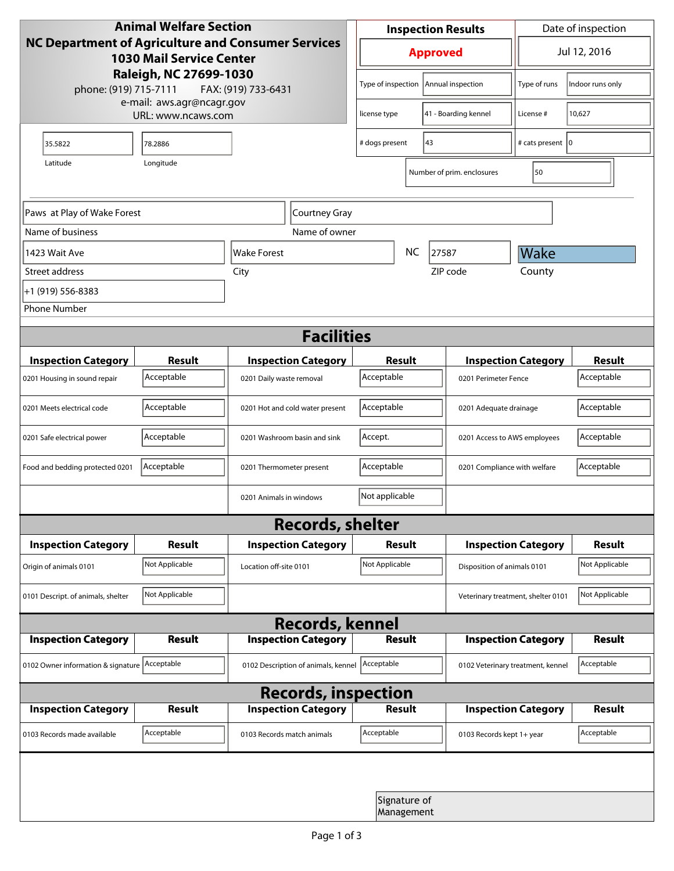| <b>Animal Welfare Section</b><br><b>NC Department of Agriculture and Consumer Services</b><br><b>1030 Mail Service Center</b><br>Raleigh, NC 27699-1030<br>phone: (919) 715-7111<br>FAX: (919) 733-6431 |                                                 |                                     | <b>Inspection Results</b>                  |                            |                                    | Date of inspection         |                  |  |
|---------------------------------------------------------------------------------------------------------------------------------------------------------------------------------------------------------|-------------------------------------------------|-------------------------------------|--------------------------------------------|----------------------------|------------------------------------|----------------------------|------------------|--|
|                                                                                                                                                                                                         |                                                 |                                     | <b>Approved</b>                            |                            |                                    | Jul 12, 2016               |                  |  |
|                                                                                                                                                                                                         |                                                 |                                     | Type of inspection                         |                            | Annual inspection                  | Type of runs               | Indoor runs only |  |
|                                                                                                                                                                                                         | e-mail: aws.agr@ncagr.gov<br>URL: www.ncaws.com |                                     | license type                               |                            | 41 - Boarding kennel               | License #                  | 10,627           |  |
| 35.5822                                                                                                                                                                                                 | 78.2886                                         |                                     | 43<br># dogs present                       |                            |                                    | # cats present   0         |                  |  |
| Latitude                                                                                                                                                                                                | Longitude                                       |                                     |                                            |                            | Number of prim. enclosures         | 50                         |                  |  |
| Paws at Play of Wake Forest                                                                                                                                                                             |                                                 | Courtney Gray                       |                                            |                            |                                    |                            |                  |  |
| Name of business                                                                                                                                                                                        |                                                 | Name of owner                       |                                            |                            |                                    |                            |                  |  |
| 1423 Wait Ave                                                                                                                                                                                           |                                                 | <b>NC</b><br>Wake Forest            |                                            | 27587                      | Wake                               |                            |                  |  |
| Street address                                                                                                                                                                                          |                                                 | City                                |                                            |                            | ZIP code                           | County                     |                  |  |
| +1 (919) 556-8383                                                                                                                                                                                       |                                                 |                                     |                                            |                            |                                    |                            |                  |  |
| <b>Phone Number</b>                                                                                                                                                                                     |                                                 |                                     |                                            |                            |                                    |                            |                  |  |
| <b>Facilities</b>                                                                                                                                                                                       |                                                 |                                     |                                            |                            |                                    |                            |                  |  |
| <b>Inspection Category</b>                                                                                                                                                                              | <b>Result</b>                                   | <b>Inspection Category</b>          | <b>Result</b>                              |                            |                                    | <b>Inspection Category</b> | <b>Result</b>    |  |
| 0201 Housing in sound repair                                                                                                                                                                            | Acceptable                                      | 0201 Daily waste removal            | Acceptable                                 |                            | 0201 Perimeter Fence               |                            | Acceptable       |  |
| 0201 Meets electrical code                                                                                                                                                                              | Acceptable                                      | 0201 Hot and cold water present     | Acceptable<br>0201 Adequate drainage       |                            |                                    | Acceptable                 |                  |  |
| 0201 Safe electrical power                                                                                                                                                                              | Acceptable                                      | 0201 Washroom basin and sink        | Accept.<br>0201 Access to AWS employees    |                            |                                    | Acceptable                 |                  |  |
| Food and bedding protected 0201                                                                                                                                                                         | Acceptable                                      | 0201 Thermometer present            | Acceptable<br>0201 Compliance with welfare |                            |                                    | Acceptable                 |                  |  |
|                                                                                                                                                                                                         |                                                 | 0201 Animals in windows             | Not applicable                             |                            |                                    |                            |                  |  |
| <b>Records, shelter</b>                                                                                                                                                                                 |                                                 |                                     |                                            |                            |                                    |                            |                  |  |
| <b>Inspection Category</b>                                                                                                                                                                              | <b>Result</b>                                   | <b>Inspection Category</b>          | Result                                     |                            |                                    | <b>Inspection Category</b> | <b>Result</b>    |  |
| Origin of animals 0101                                                                                                                                                                                  | Not Applicable                                  | Location off-site 0101              | Not Applicable                             |                            | Disposition of animals 0101        |                            | Not Applicable   |  |
| 0101 Descript. of animals, shelter                                                                                                                                                                      | Not Applicable                                  |                                     |                                            |                            | Veterinary treatment, shelter 0101 |                            | Not Applicable   |  |
| <b>Records, kennel</b>                                                                                                                                                                                  |                                                 |                                     |                                            |                            |                                    |                            |                  |  |
| <b>Inspection Category</b>                                                                                                                                                                              | Result                                          | <b>Inspection Category</b>          | <b>Result</b>                              |                            |                                    | <b>Inspection Category</b> | Result           |  |
| 0102 Owner information & signature Acceptable                                                                                                                                                           |                                                 | 0102 Description of animals, kennel | Acceptable                                 |                            | 0102 Veterinary treatment, kennel  |                            | Acceptable       |  |
| <b>Records, inspection</b>                                                                                                                                                                              |                                                 |                                     |                                            |                            |                                    |                            |                  |  |
| <b>Inspection Category</b>                                                                                                                                                                              | <b>Result</b>                                   | <b>Inspection Category</b>          | <b>Result</b>                              |                            |                                    | <b>Inspection Category</b> | <b>Result</b>    |  |
| 0103 Records made available                                                                                                                                                                             | Acceptable                                      | 0103 Records match animals          | Acceptable                                 |                            | 0103 Records kept 1+ year          |                            | Acceptable       |  |
|                                                                                                                                                                                                         |                                                 |                                     |                                            |                            |                                    |                            |                  |  |
|                                                                                                                                                                                                         |                                                 |                                     |                                            | Signature of<br>Management |                                    |                            |                  |  |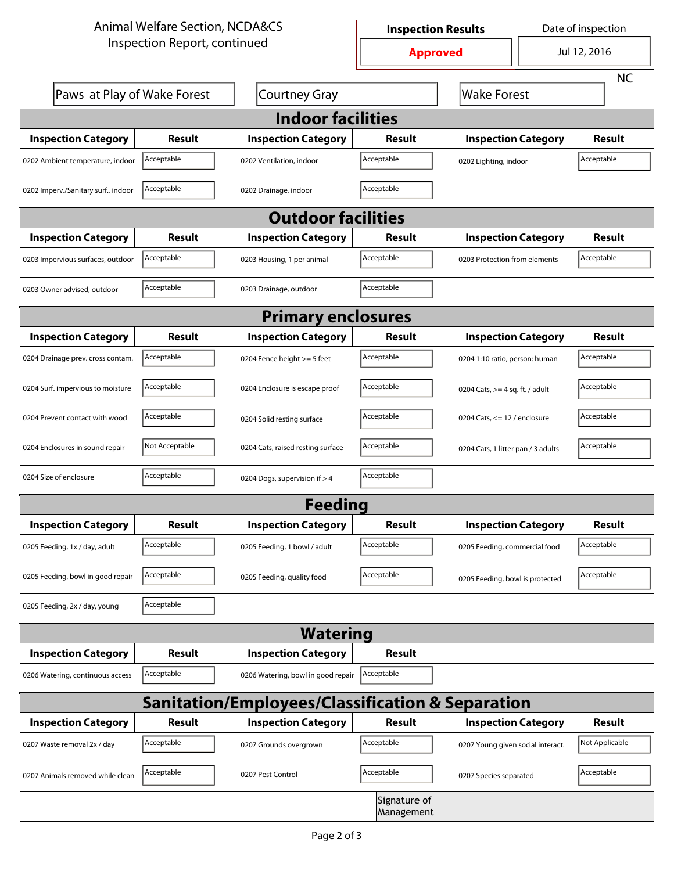| <b>Animal Welfare Section, NCDA&amp;CS</b>                  |                |                                    | Date of inspection<br><b>Inspection Results</b> |                                     |  |                |  |  |
|-------------------------------------------------------------|----------------|------------------------------------|-------------------------------------------------|-------------------------------------|--|----------------|--|--|
| Inspection Report, continued                                |                |                                    | <b>Approved</b>                                 |                                     |  | Jul 12, 2016   |  |  |
|                                                             |                |                                    |                                                 |                                     |  | <b>NC</b>      |  |  |
| Paws at Play of Wake Forest                                 |                | <b>Courtney Gray</b>               | <b>Wake Forest</b>                              |                                     |  |                |  |  |
| <b>Indoor facilities</b>                                    |                |                                    |                                                 |                                     |  |                |  |  |
| <b>Inspection Category</b>                                  | Result         | <b>Inspection Category</b>         | Result                                          | <b>Inspection Category</b>          |  | <b>Result</b>  |  |  |
| 0202 Ambient temperature, indoor                            | Acceptable     | 0202 Ventilation, indoor           | Acceptable                                      | Acceptable<br>0202 Lighting, indoor |  |                |  |  |
| 0202 Imperv./Sanitary surf., indoor                         | Acceptable     | 0202 Drainage, indoor              | Acceptable                                      |                                     |  |                |  |  |
| <b>Outdoor facilities</b>                                   |                |                                    |                                                 |                                     |  |                |  |  |
| <b>Inspection Category</b>                                  | <b>Result</b>  | <b>Inspection Category</b>         | Result                                          | <b>Inspection Category</b>          |  | <b>Result</b>  |  |  |
| 0203 Impervious surfaces, outdoor                           | Acceptable     | 0203 Housing, 1 per animal         | Acceptable                                      | 0203 Protection from elements       |  | Acceptable     |  |  |
| 0203 Owner advised, outdoor                                 | Acceptable     | 0203 Drainage, outdoor             | Acceptable                                      |                                     |  |                |  |  |
| <b>Primary enclosures</b>                                   |                |                                    |                                                 |                                     |  |                |  |  |
| <b>Inspection Category</b>                                  | <b>Result</b>  | <b>Inspection Category</b>         | Result                                          | <b>Inspection Category</b>          |  | <b>Result</b>  |  |  |
| 0204 Drainage prev. cross contam.                           | Acceptable     | 0204 Fence height >= 5 feet        | Acceptable                                      | 0204 1:10 ratio, person: human      |  | Acceptable     |  |  |
| 0204 Surf. impervious to moisture                           | Acceptable     | 0204 Enclosure is escape proof     | Acceptable                                      | 0204 Cats, $>=$ 4 sq. ft. / adult   |  | Acceptable     |  |  |
| 0204 Prevent contact with wood                              | Acceptable     | 0204 Solid resting surface         | Acceptable                                      | 0204 Cats, $<= 12$ / enclosure      |  | Acceptable     |  |  |
| 0204 Enclosures in sound repair                             | Not Acceptable | 0204 Cats, raised resting surface  | Acceptable                                      | 0204 Cats, 1 litter pan / 3 adults  |  | Acceptable     |  |  |
| 0204 Size of enclosure                                      | Acceptable     | 0204 Dogs, supervision if > 4      | Acceptable                                      |                                     |  |                |  |  |
| Feeding                                                     |                |                                    |                                                 |                                     |  |                |  |  |
| <b>Inspection Category</b>                                  | <b>Result</b>  | <b>Inspection Category</b>         | <b>Result</b>                                   | <b>Inspection Category</b>          |  | <b>Result</b>  |  |  |
| 0205 Feeding, 1x / day, adult                               | Acceptable     | 0205 Feeding, 1 bowl / adult       | Acceptable                                      | 0205 Feeding, commercial food       |  | Acceptable     |  |  |
| 0205 Feeding, bowl in good repair                           | Acceptable     | 0205 Feeding, quality food         | Acceptable                                      | 0205 Feeding, bowl is protected     |  | Acceptable     |  |  |
| 0205 Feeding, 2x / day, young                               | Acceptable     |                                    |                                                 |                                     |  |                |  |  |
| <b>Watering</b>                                             |                |                                    |                                                 |                                     |  |                |  |  |
| <b>Inspection Category</b>                                  | <b>Result</b>  | <b>Inspection Category</b>         | <b>Result</b>                                   |                                     |  |                |  |  |
| 0206 Watering, continuous access                            | Acceptable     | 0206 Watering, bowl in good repair | Acceptable                                      |                                     |  |                |  |  |
| <b>Sanitation/Employees/Classification &amp; Separation</b> |                |                                    |                                                 |                                     |  |                |  |  |
| <b>Inspection Category</b>                                  | <b>Result</b>  | <b>Inspection Category</b>         | <b>Result</b>                                   | <b>Inspection Category</b>          |  | <b>Result</b>  |  |  |
| 0207 Waste removal 2x / day                                 | Acceptable     | 0207 Grounds overgrown             | Acceptable                                      | 0207 Young given social interact.   |  | Not Applicable |  |  |
| 0207 Animals removed while clean                            | Acceptable     | 0207 Pest Control                  | Acceptable                                      | 0207 Species separated              |  | Acceptable     |  |  |
|                                                             |                |                                    | Signature of<br>Management                      |                                     |  |                |  |  |